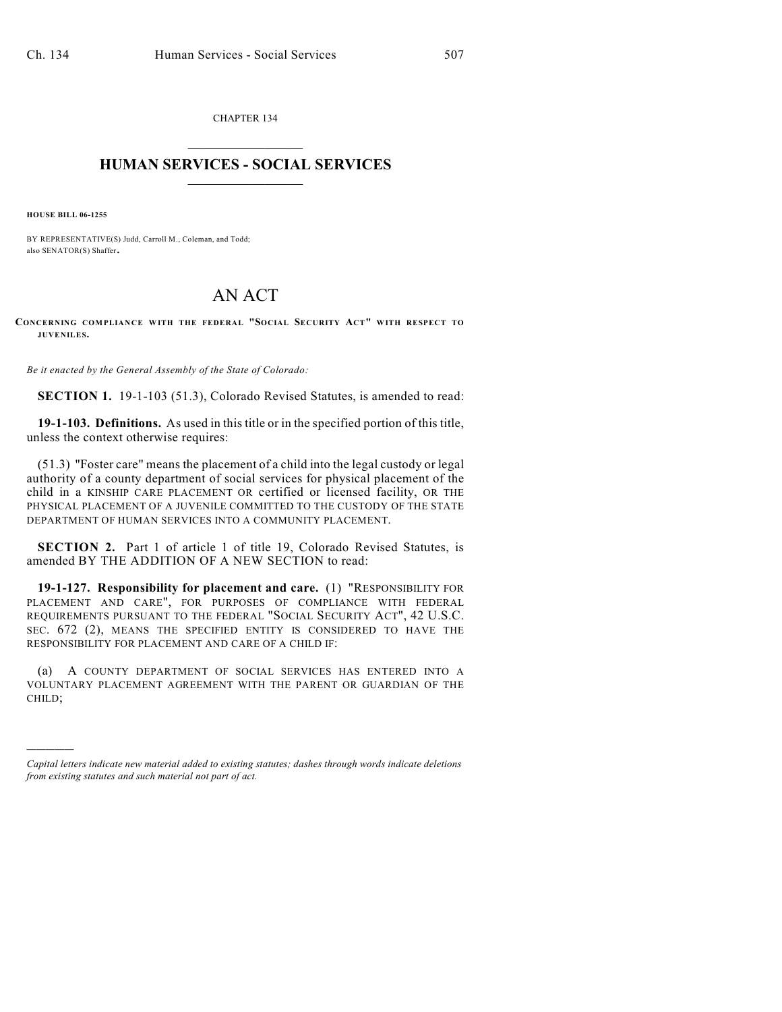CHAPTER 134  $\mathcal{L}_\text{max}$  . The set of the set of the set of the set of the set of the set of the set of the set of the set of the set of the set of the set of the set of the set of the set of the set of the set of the set of the set

## **HUMAN SERVICES - SOCIAL SERVICES**  $\frac{1}{2}$  ,  $\frac{1}{2}$  ,  $\frac{1}{2}$  ,  $\frac{1}{2}$  ,  $\frac{1}{2}$  ,  $\frac{1}{2}$  ,  $\frac{1}{2}$

**HOUSE BILL 06-1255**

)))))

BY REPRESENTATIVE(S) Judd, Carroll M., Coleman, and Todd; also SENATOR(S) Shaffer.

## AN ACT

**CONCERNING COMPLIANCE WITH THE FEDERAL "SOCIAL SECURITY ACT" WITH RESPECT TO JUVENILES.**

*Be it enacted by the General Assembly of the State of Colorado:*

**SECTION 1.** 19-1-103 (51.3), Colorado Revised Statutes, is amended to read:

**19-1-103. Definitions.** As used in this title or in the specified portion of this title, unless the context otherwise requires:

(51.3) "Foster care" means the placement of a child into the legal custody or legal authority of a county department of social services for physical placement of the child in a KINSHIP CARE PLACEMENT OR certified or licensed facility, OR THE PHYSICAL PLACEMENT OF A JUVENILE COMMITTED TO THE CUSTODY OF THE STATE DEPARTMENT OF HUMAN SERVICES INTO A COMMUNITY PLACEMENT.

**SECTION 2.** Part 1 of article 1 of title 19, Colorado Revised Statutes, is amended BY THE ADDITION OF A NEW SECTION to read:

**19-1-127. Responsibility for placement and care.** (1) "RESPONSIBILITY FOR PLACEMENT AND CARE", FOR PURPOSES OF COMPLIANCE WITH FEDERAL REQUIREMENTS PURSUANT TO THE FEDERAL "SOCIAL SECURITY ACT", 42 U.S.C. SEC. 672 (2), MEANS THE SPECIFIED ENTITY IS CONSIDERED TO HAVE THE RESPONSIBILITY FOR PLACEMENT AND CARE OF A CHILD IF:

(a) A COUNTY DEPARTMENT OF SOCIAL SERVICES HAS ENTERED INTO A VOLUNTARY PLACEMENT AGREEMENT WITH THE PARENT OR GUARDIAN OF THE CHILD;

*Capital letters indicate new material added to existing statutes; dashes through words indicate deletions from existing statutes and such material not part of act.*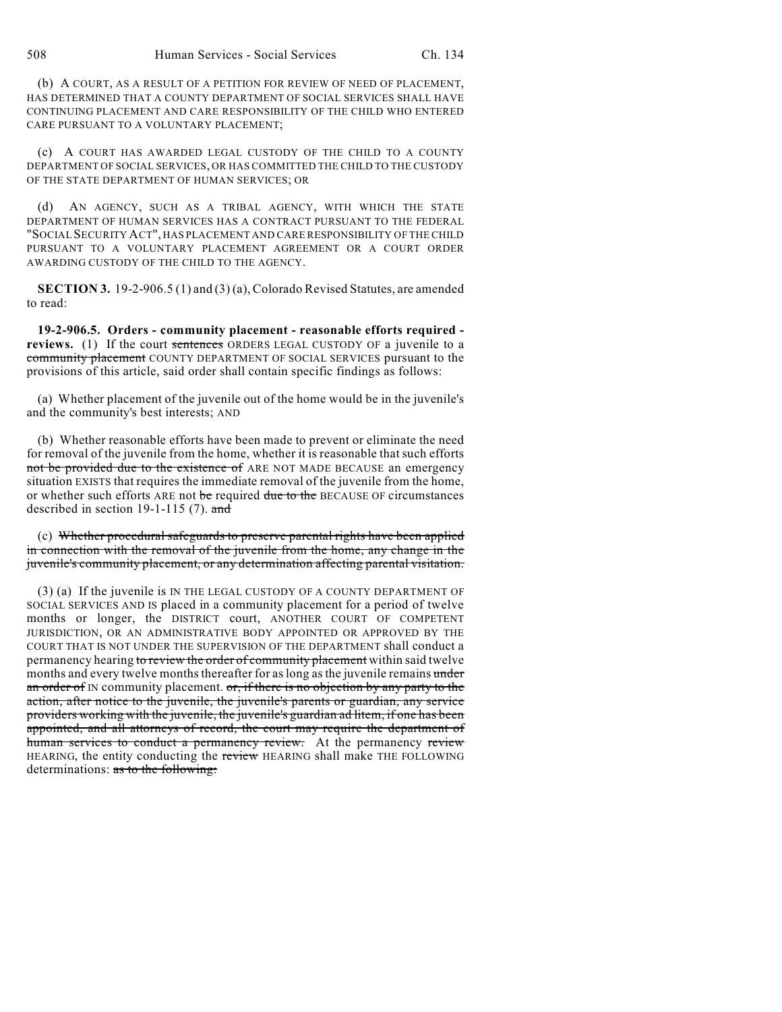(b) A COURT, AS A RESULT OF A PETITION FOR REVIEW OF NEED OF PLACEMENT, HAS DETERMINED THAT A COUNTY DEPARTMENT OF SOCIAL SERVICES SHALL HAVE CONTINUING PLACEMENT AND CARE RESPONSIBILITY OF THE CHILD WHO ENTERED CARE PURSUANT TO A VOLUNTARY PLACEMENT;

(c) A COURT HAS AWARDED LEGAL CUSTODY OF THE CHILD TO A COUNTY DEPARTMENT OF SOCIAL SERVICES, OR HAS COMMITTED THE CHILD TO THE CUSTODY OF THE STATE DEPARTMENT OF HUMAN SERVICES; OR

(d) AN AGENCY, SUCH AS A TRIBAL AGENCY, WITH WHICH THE STATE DEPARTMENT OF HUMAN SERVICES HAS A CONTRACT PURSUANT TO THE FEDERAL "SOCIAL SECURITY ACT", HAS PLACEMENT AND CARE RESPONSIBILITY OF THE CHILD PURSUANT TO A VOLUNTARY PLACEMENT AGREEMENT OR A COURT ORDER AWARDING CUSTODY OF THE CHILD TO THE AGENCY.

**SECTION 3.** 19-2-906.5 (1) and (3) (a), Colorado Revised Statutes, are amended to read:

**19-2-906.5. Orders - community placement - reasonable efforts required**  reviews. (1) If the court sentences ORDERS LEGAL CUSTODY OF a juvenile to a community placement COUNTY DEPARTMENT OF SOCIAL SERVICES pursuant to the provisions of this article, said order shall contain specific findings as follows:

(a) Whether placement of the juvenile out of the home would be in the juvenile's and the community's best interests; AND

(b) Whether reasonable efforts have been made to prevent or eliminate the need for removal of the juvenile from the home, whether it is reasonable that such efforts not be provided due to the existence of ARE NOT MADE BECAUSE an emergency situation EXISTS that requires the immediate removal of the juvenile from the home, or whether such efforts ARE not be required due to the BECAUSE OF circumstances described in section 19-1-115 (7). and

(c) Whether procedural safeguards to preserve parental rights have been applied in connection with the removal of the juvenile from the home, any change in the juvenile's community placement, or any determination affecting parental visitation.

(3) (a) If the juvenile is IN THE LEGAL CUSTODY OF A COUNTY DEPARTMENT OF SOCIAL SERVICES AND IS placed in a community placement for a period of twelve months or longer, the DISTRICT court, ANOTHER COURT OF COMPETENT JURISDICTION, OR AN ADMINISTRATIVE BODY APPOINTED OR APPROVED BY THE COURT THAT IS NOT UNDER THE SUPERVISION OF THE DEPARTMENT shall conduct a permanency hearing to review the order of community placement within said twelve months and every twelve months thereafter for as long as the juvenile remains under an order of IN community placement. or, if there is no objection by any party to the action, after notice to the juvenile, the juvenile's parents or guardian, any service providers working with the juvenile, the juvenile's guardian ad litem, if one has been appointed, and all attorneys of record, the court may require the department of human services to conduct a permanency review. At the permanency review HEARING, the entity conducting the review HEARING shall make THE FOLLOWING determinations: as to the following: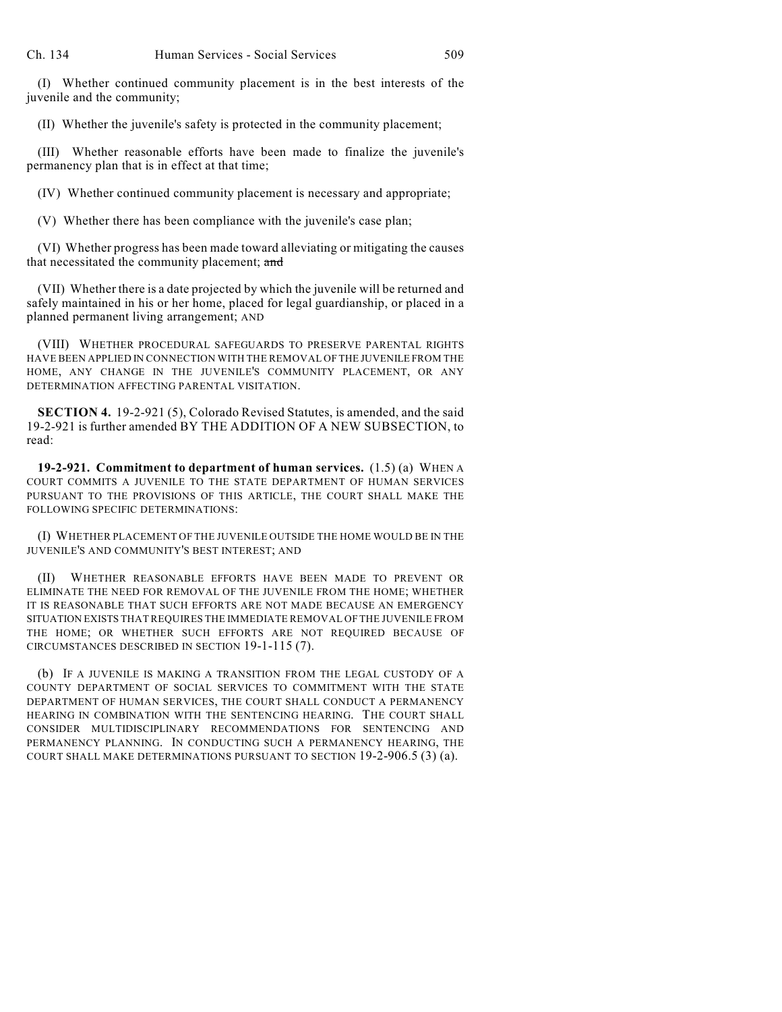(I) Whether continued community placement is in the best interests of the juvenile and the community;

(II) Whether the juvenile's safety is protected in the community placement;

(III) Whether reasonable efforts have been made to finalize the juvenile's permanency plan that is in effect at that time;

(IV) Whether continued community placement is necessary and appropriate;

(V) Whether there has been compliance with the juvenile's case plan;

(VI) Whether progress has been made toward alleviating or mitigating the causes that necessitated the community placement; and

(VII) Whether there is a date projected by which the juvenile will be returned and safely maintained in his or her home, placed for legal guardianship, or placed in a planned permanent living arrangement; AND

(VIII) WHETHER PROCEDURAL SAFEGUARDS TO PRESERVE PARENTAL RIGHTS HAVE BEEN APPLIED IN CONNECTION WITH THE REMOVAL OF THE JUVENILE FROM THE HOME, ANY CHANGE IN THE JUVENILE'S COMMUNITY PLACEMENT, OR ANY DETERMINATION AFFECTING PARENTAL VISITATION.

**SECTION 4.** 19-2-921 (5), Colorado Revised Statutes, is amended, and the said 19-2-921 is further amended BY THE ADDITION OF A NEW SUBSECTION, to read:

**19-2-921. Commitment to department of human services.** (1.5) (a) WHEN A COURT COMMITS A JUVENILE TO THE STATE DEPARTMENT OF HUMAN SERVICES PURSUANT TO THE PROVISIONS OF THIS ARTICLE, THE COURT SHALL MAKE THE FOLLOWING SPECIFIC DETERMINATIONS:

(I) WHETHER PLACEMENT OF THE JUVENILE OUTSIDE THE HOME WOULD BE IN THE JUVENILE'S AND COMMUNITY'S BEST INTEREST; AND

(II) WHETHER REASONABLE EFFORTS HAVE BEEN MADE TO PREVENT OR ELIMINATE THE NEED FOR REMOVAL OF THE JUVENILE FROM THE HOME; WHETHER IT IS REASONABLE THAT SUCH EFFORTS ARE NOT MADE BECAUSE AN EMERGENCY SITUATION EXISTS THAT REQUIRES THE IMMEDIATE REMOVAL OF THE JUVENILE FROM THE HOME; OR WHETHER SUCH EFFORTS ARE NOT REQUIRED BECAUSE OF CIRCUMSTANCES DESCRIBED IN SECTION 19-1-115 (7).

(b) IF A JUVENILE IS MAKING A TRANSITION FROM THE LEGAL CUSTODY OF A COUNTY DEPARTMENT OF SOCIAL SERVICES TO COMMITMENT WITH THE STATE DEPARTMENT OF HUMAN SERVICES, THE COURT SHALL CONDUCT A PERMANENCY HEARING IN COMBINATION WITH THE SENTENCING HEARING. THE COURT SHALL CONSIDER MULTIDISCIPLINARY RECOMMENDATIONS FOR SENTENCING AND PERMANENCY PLANNING. IN CONDUCTING SUCH A PERMANENCY HEARING, THE COURT SHALL MAKE DETERMINATIONS PURSUANT TO SECTION 19-2-906.5 (3) (a).